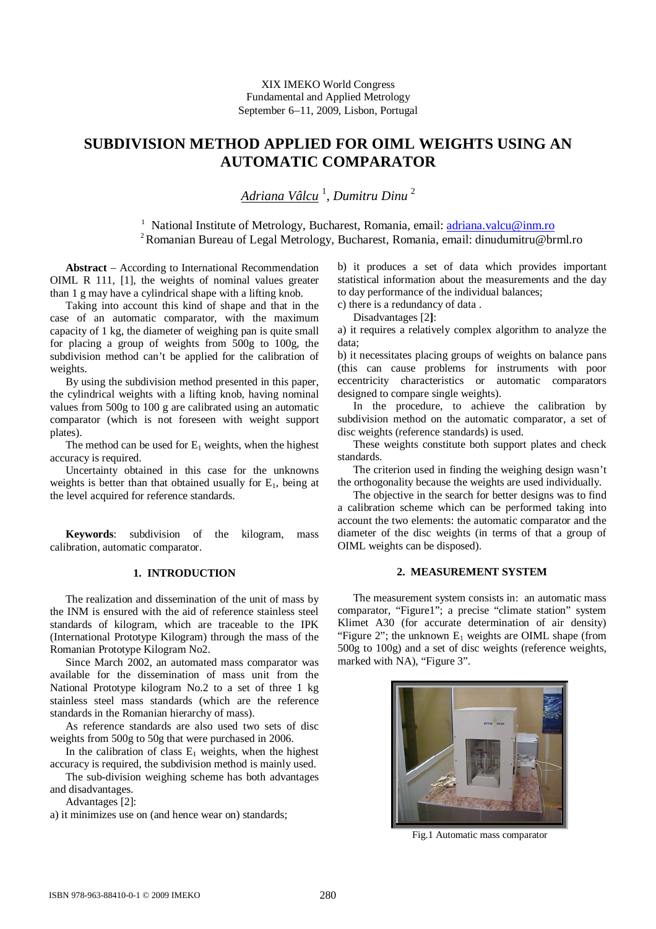# **SUBDIVISION METHOD APPLIED FOR OIML WEIGHTS USING AN AUTOMATIC COMPARATOR**

*Adriana Vâlcu* <sup>1</sup> , *Dumitru Dinu* <sup>2</sup>

<sup>1</sup> National Institute of Metrology, Bucharest, Romania, email:  $\frac{\text{adriana} \cdot \text{value@inm} \cdot \text{row} \cdot \text{time@inm}}{n}$ <sup>2</sup>Romanian Bureau of Legal Metrology, Bucharest, Romania, email: dinudumitru@brml.ro

Abstract – According to International Recommendation OIML R 111, [1], the weights of nominal values greater than 1 g may have a cylindrical shape with a lifting knob.

Taking into account this kind of shape and that in the case of an automatic comparator, with the maximum capacity of 1 kg, the diameter of weighing pan is quite small for placing a group of weights from 500g to 100g, the subdivision method can't be applied for the calibration of weights.

By using the subdivision method presented in this paper, the cylindrical weights with a lifting knob, having nominal values from 500g to 100 g are calibrated using an automatic comparator (which is not foreseen with weight support plates).

The method can be used for  $E_1$  weights, when the highest accuracy is required.

Uncertainty obtained in this case for the unknowns weights is better than that obtained usually for  $E_1$ , being at the level acquired for reference standards.

**Keywords**: subdivision of the kilogram, mass calibration, automatic comparator.

# **1. INTRODUCTION**

The realization and dissemination of the unit of mass by the INM is ensured with the aid of reference stainless steel standards of kilogram, which are traceable to the IPK (International Prototype Kilogram) through the mass of the Romanian Prototype Kilogram No2.

Since March 2002, an automated mass comparator was available for the dissemination of mass unit from the National Prototype kilogram No.2 to a set of three 1 kg stainless steel mass standards (which are the reference standards in the Romanian hierarchy of mass).

As reference standards are also used two sets of disc weights from 500g to 50g that were purchased in 2006.

In the calibration of class  $E_1$  weights, when the highest accuracy is required, the subdivision method is mainly used.

The sub-division weighing scheme has both advantages and disadvantages.

Advantages [2]:

a) it minimizes use on (and hence wear on) standards;

b) it produces a set of data which provides important statistical information about the measurements and the day to day performance of the individual balances;

c) there is a redundancy of data .

Disadvantages [2**]**:

a) it requires a relatively complex algorithm to analyze the data;

b) it necessitates placing groups of weights on balance pans (this can cause problems for instruments with poor eccentricity characteristics or automatic comparators designed to compare single weights).

In the procedure, to achieve the calibration by subdivision method on the automatic comparator, a set of disc weights (reference standards) is used.

These weights constitute both support plates and check standards.

The criterion used in finding the weighing design wasn't the orthogonality because the weights are used individually.

The objective in the search for better designs was to find a calibration scheme which can be performed taking into account the two elements: the automatic comparator and the diameter of the disc weights (in terms of that a group of OIML weights can be disposed).

## **2. MEASUREMENT SYSTEM**

The measurement system consists in: an automatic mass comparator, "Figure1"; a precise "climate station" system Klimet A30 (for accurate determination of air density) "Figure 2"; the unknown  $E_1$  weights are OIML shape (from 500g to 100g) and a set of disc weights (reference weights, marked with NA), "Figure 3".



Fig.1 Automatic mass comparator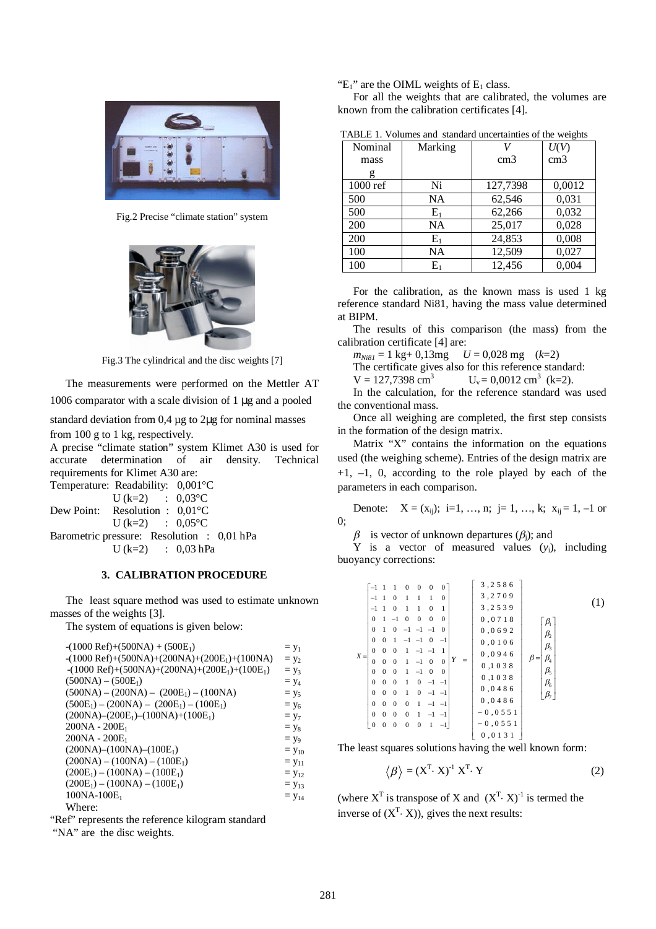

Fig.2 Precise "climate station" system



Fig.3 The cylindrical and the disc weights [7]

The measurements were performed on the Mettler AT

1006 comparator with a scale division of 1 µg and a pooled

standard deviation from 0,4 µg to 2µg for nominal masses

from 100 g to 1 kg, respectively.

A precise "climate station" system Klimet A30 is used for accurate determination of air density. Technical requirements for Klimet A30 are:  $T_{\rm{C}}$  Temperature: 0,000  $\mu$ 

| Temperature: Readability: 0,001 °C         |                      |  |
|--------------------------------------------|----------------------|--|
|                                            | $U (k=2)$ : 0,03°C   |  |
| Dew Point: Resolution : 0,01°C             |                      |  |
|                                            | $U (k=2)$ : 0.05°C   |  |
| Barometric pressure: Resolution : 0,01 hPa |                      |  |
|                                            | $U (k=2)$ : 0,03 hPa |  |

## **3. CALIBRATION PROCEDURE**

The least square method was used to estimate unknown masses of the weights [3].

The system of equations is given below:

| $-(1000 \text{ Ref})+(500 \text{NA}) + (500 \text{E})$                                         | $= y_1$      |
|------------------------------------------------------------------------------------------------|--------------|
| $-(1000 \text{ Ref}) + (500 \text{NA}) + (200 \text{NA}) + (200 \text{E}_1) + (100 \text{NA})$ | $= y_2$      |
| $-(1000 \text{ Ref})+(500 \text{NA})+(200 \text{NA})+(200 \text{E}_1)+(100 \text{E}_1)$        | $= y_3$      |
| $(500NA) - (500E_1)$                                                                           | $=y_4$       |
| $(500NA) - (200NA) - (200E1) - (100NA)$                                                        | $= y_5$      |
| $(500E_1) - (200NA) - (200E_1) - (100E_1)$                                                     | $=$ $y_6$    |
| $(200NA) - (200E_1) - (100NA) + (100E_1)$                                                      | $= y_7$      |
| $200NA - 200E_1$                                                                               | $= y_8$      |
| 200NA - 200E                                                                                   | $=y_9$       |
| $(200NA)$ – $(100NA)$ – $(100E_1)$                                                             | $= y_{10}$   |
| $(200NA) - (100NA) - (100E_1)$                                                                 | $= y_{11}$   |
| $(200E_1) - (100NA) - (100E_1)$                                                                | $= y_{12}$   |
| $(200E_1) - (100NA) - (100E_1)$                                                                | $= y_{13}$   |
| $100NA-100E_1$                                                                                 | $=$ $y_{14}$ |
| Where:                                                                                         |              |

"Ref" represents the reference kilogram standard

"NA" are the disc weights.

" $E_1$ " are the OIML weights of  $E_1$  class.

For all the weights that are calibrated, the volumes are known from the calibration certificates [4].

| $\ldots$ |                |                 |                 |  |  |  |  |
|----------|----------------|-----------------|-----------------|--|--|--|--|
| Nominal  | Marking        |                 | U(V)            |  |  |  |  |
| mass     |                | cm <sub>3</sub> | cm <sub>3</sub> |  |  |  |  |
| g        |                |                 |                 |  |  |  |  |
| 1000 ref | Ni             | 127,7398        | 0,0012          |  |  |  |  |
| 500      | NA             | 62,546          | 0,031           |  |  |  |  |
| 500      | $E_1$          | 62,266          | 0,032           |  |  |  |  |
| 200      | <b>NA</b>      | 25,017          | 0,028           |  |  |  |  |
| 200      | $E_1$          | 24,853          | 0,008           |  |  |  |  |
| 100      | NA             | 12,509          | 0,027           |  |  |  |  |
| 100      | $\mathrm{E}_1$ | 12,456          | 0.004           |  |  |  |  |

For the calibration, as the known mass is used 1 kg reference standard Ni81, having the mass value determined at BIPM.

The results of this comparison (the mass) from the calibration certificate [4] are:

 $m_{Ni81} = 1$  kg+ 0,13mg  $U = 0,028$  mg  $(k=2)$ 

The certificate gives also for this reference standard:

 $V = 127,7398$  cm<sup>3</sup>  $U_v = 0,0012$  cm<sup>3</sup> (k=2).

In the calculation, for the reference standard was used the conventional mass.

Once all weighing are completed, the first step consists in the formation of the design matrix.

Matrix "X" contains the information on the equations used (the weighing scheme). Entries of the design matrix are  $+1$ ,  $-1$ , 0, according to the role played by each of the parameters in each comparison.

Denote:  $X = (x_{ij})$ ; i=1, ..., n; j= 1, ..., k;  $x_{ij} = 1$ , -1 or 0;

 $\beta$  is vector of unknown departures ( $\beta$ <sub>i</sub>); and

Y is a vector of measured values (*y*i), including buoyancy corrections:

$$
X = \begin{bmatrix}\n-1 & 1 & 1 & 0 & 0 & 0 & 0 \\
-1 & 1 & 0 & 1 & 1 & 1 & 0 \\
0 & 1 & -1 & 0 & 0 & 0 & 0 \\
0 & 0 & 0 & 1 & -1 & -1 & 0 \\
0 & 0 & 0 & 1 & -1 & -1 & 1 \\
0 & 0 & 0 & 1 & -1 & -1 & 0\n\end{bmatrix} Y = \begin{bmatrix}\n3.2586 \\
3.2709 \\
3.2539 \\
0.0718 \\
0.00692 \\
0.0106 \\
0.00486 \\
0.1038 \\
0.1038 \\
0.1038 \\
0.1038 \\
0.0486 \\
0.00486 \\
0.00486 \\
0.00486 \\
0.00486 \\
0.00486 \\
0.00486 \\
0.00486 \\
0.00131\n\end{bmatrix} Y = \begin{bmatrix} \beta_1 \\ \beta_2 \\ \beta_3 \\ \beta_4 \\ \beta_5 \\ 0.0103 \\
0.0486 \\
0.00486 \\
0.00131\n\end{bmatrix} Y = \begin{bmatrix} \beta_1 \\ \beta_2 \\ \beta_3 \\ \beta_4 \\ \beta_5 \\ \beta_6 \\ \beta_7 \\ \beta_8 \\ \beta_9 \\ \beta_1 \\ \beta_1 \\ \beta_2 \\ \beta_3 \\ \beta_4 \\ \beta_5 \\ \beta_6 \\ \beta_7 \end{bmatrix}
$$
 (1)

The least squares solutions having the well known form:

$$
\langle \beta \rangle = (X^T \cdot X)^{-1} X^T \cdot Y \tag{2}
$$

(where  $X<sup>T</sup>$  is transpose of X and  $(X<sup>T</sup>· X)<sup>-1</sup>$  is termed the inverse of  $(X<sup>T</sup>· X)$ , gives the next results: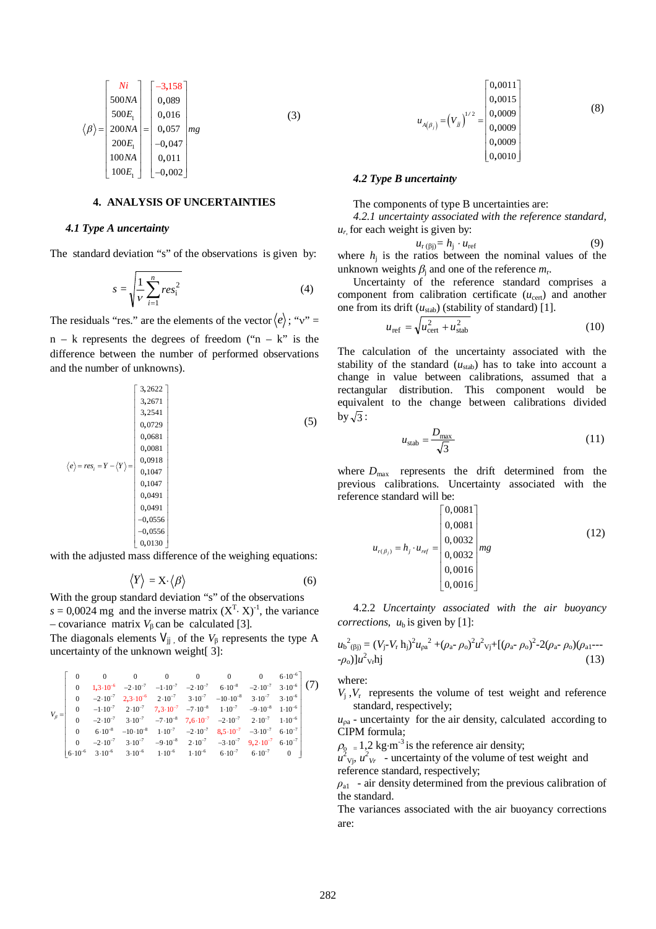$$
\langle \beta \rangle = \begin{bmatrix} Ni \\ 500NA \\ 500E_1 \\ 200NA \\ 200E_1 \\ 100NA \\ 100E_1 \end{bmatrix} = \begin{bmatrix} -3,158 \\ 0,089 \\ 0,016 \\ 0,057 \\ -0,047 \\ 0,011 \\ 0,011 \\ -0,002 \end{bmatrix} \tag{3}
$$

## **4. ANALYSIS OF UNCERTAINTIES**

## *4.1 Type A uncertainty*

The standard deviation "s" of the observations is given by:

$$
s = \sqrt{\frac{1}{V} \sum_{i=1}^{n} res_i^2}
$$
 (4)

The residuals "res." are the elements of the vector  $\langle e \rangle$ ; "v" =

 $n - k$  represents the degrees of freedom (" $n - k$ " is the difference between the number of performed observations and the number of unknowns).

$$
\langle e \rangle = res_i = Y - \langle Y \rangle = \begin{bmatrix} 3,2622 \\ 3,2671 \\ 3,2541 \\ 0,0729 \\ 0,0681 \\ 0,0081 \\ 0,0081 \\ 0,1047 \\ 0,1047 \\ 0,1047 \\ 0,0491 \\ 0,0491 \\ -0,0556 \\ -0,0556 \\ -0,0556 \\ 0,0130 \end{bmatrix}
$$
(5)

with the adjusted mass difference of the weighing equations:

$$
\langle Y \rangle = \mathbf{X} \cdot \langle \beta \rangle \tag{6}
$$

With the group standard deviation "s" of the observations  $s = 0.0024$  mg and the inverse matrix  $(X<sup>T</sup> \t X)<sup>-1</sup>$ , the variance – covariance matrix  $V_\beta$  can be calculated [3].

The diagonals elements  $V_{ij}$ , of the  $V_{\beta}$  represents the type A uncertainty of the unknown weight[ 3]:

$$
V_{\beta} = \begin{bmatrix}\n0 & 0 & 0 & 0 & 0 & 0 & 0 & 6 \cdot 10^{-6} \\
0 & 1,3 \cdot 10^{-6} & -2 \cdot 10^{-7} & -1 \cdot 10^{-7} & -2 \cdot 10^{-7} & 6 \cdot 10^{-8} & -2 \cdot 10^{-7} & 3 \cdot 10^{-6} \\
0 & -2 \cdot 10^{-7} & 2,3 \cdot 10^{-6} & 2 \cdot 10^{-7} & 3 \cdot 10^{-7} & -10 \cdot 10^{-8} & 3 \cdot 10^{-7} & 3 \cdot 10^{-6} \\
0 & -1 \cdot 10^{-7} & 2 \cdot 10^{-7} & 7,3 \cdot 10^{-7} & -7 \cdot 10^{-8} & 1 \cdot 10^{-7} & -9 \cdot 10^{-8} & 1 \cdot 10^{-6} \\
0 & -2 \cdot 10^{-7} & 3 \cdot 10^{-7} & -7 \cdot 10^{-8} & 7,6 \cdot 10^{-7} & -2 \cdot 10^{-7} & 2 \cdot 10^{-7} & 1 \cdot 10^{-6} \\
0 & 6 \cdot 10^{-8} & -10 \cdot 10^{-8} & 1 \cdot 10^{-7} & -2 \cdot 10^{-7} & 8,5 \cdot 10^{-7} & -3 \cdot 10^{-7} & 6 \cdot 10^{-7} \\
0 & -2 \cdot 10^{-7} & 3 \cdot 10^{-7} & -9 \cdot 10^{-8} & 2 \cdot 10^{-7} & -3 \cdot 10^{-7} & 9,2 \cdot 10^{-7} & 6 \cdot 10^{-7} \\
6 \cdot 10^{-6} & 3 \cdot 10^{-6} & 3 \cdot 10^{-6} & 1 \cdot 10^{-6} & 1 \cdot 10^{-6} & 6 \cdot 10^{-7} & 6 \cdot 10^{-7} & 0\n\end{bmatrix}
$$

$$
u_{A(\beta_j)} = (V_{jj})^{1/2} = \begin{bmatrix} 0,0011 \\ 0,0015 \\ 0,0009 \\ 0,0009 \\ 0,0009 \\ 0,0010 \end{bmatrix}
$$
 (8)

#### *4.2 Type B uncertainty*

The components of type B uncertainties are:

*4.2.1 uncertainty associated with the reference standard,*   $u_r$ , for each weight is given by:

$$
u_{\rm r\,(\beta j)}=h_{\rm j}\cdot u_{\rm ref} \tag{9}
$$

where  $h_j$  is the ratios between the nominal values of the unknown weights  $\beta_j$  and one of the reference  $m_r$ .

Uncertainty of the reference standard comprises a component from calibration certificate  $(u_{\text{cert}})$  and another one from its drift ( $u_{stab}$ ) (stability of standard) [1].

$$
u_{\rm ref} = \sqrt{u_{\rm cert}^2 + u_{\rm stab}^2}
$$
 (10)

The calculation of the uncertainty associated with the stability of the standard  $(u_{stab})$  has to take into account a change in value between calibrations, assumed that a rectangular distribution. This component would be equivalent to the change between calibrations divided by  $\sqrt{3}$ :

$$
u_{\text{stab}} = \frac{D_{\text{max}}}{\sqrt{3}}\tag{11}
$$

where  $D_{\text{max}}$  represents the drift determined from the previous calibrations. Uncertainty associated with the reference standard will be:

$$
u_{r(\beta_j)} = h_j \cdot u_{ref} = \begin{bmatrix} 0,0081 \\ 0,0081 \\ 0,0032 \\ 0,0032 \\ 0,0016 \\ 0,0016 \end{bmatrix} mg
$$
 (12)

4.2.2 *Uncertainty associated with the air buoyancy corrections*,  $u<sub>b</sub>$  is given by [1]:

$$
u_{b}^{2}{}_{(\beta j)} = (V_{j} - V_{r} h_{j})^{2} u_{\rho a}^{2} + (\rho_{a} - \rho_{o})^{2} u^{2} v_{j} + [(\rho_{a} - \rho_{o})^{2} - 2(\rho_{a} - \rho_{o}) (\rho_{a1} - \rho_{o})] u^{2} v_{r} hj
$$
\n(13)

where:

 $V_j$ ,  $V_r$  represents the volume of test weight and reference standard, respectively;

 $u_{\text{oa}}$  - uncertainty for the air density, calculated according to CIPM formula;

 $\rho_{\text{Q}} = 1.2 \text{ kg} \cdot \text{m}^{-3}$  is the reference air density;

 $u^2$ <sub>Vj</sub>,  $u^2$ <sub>Vr</sub> - uncertainty of the volume of test weight and reference standard, respectively;

 $\rho_{a1}$  - air density determined from the previous calibration of the standard.

The variances associated with the air buoyancy corrections are: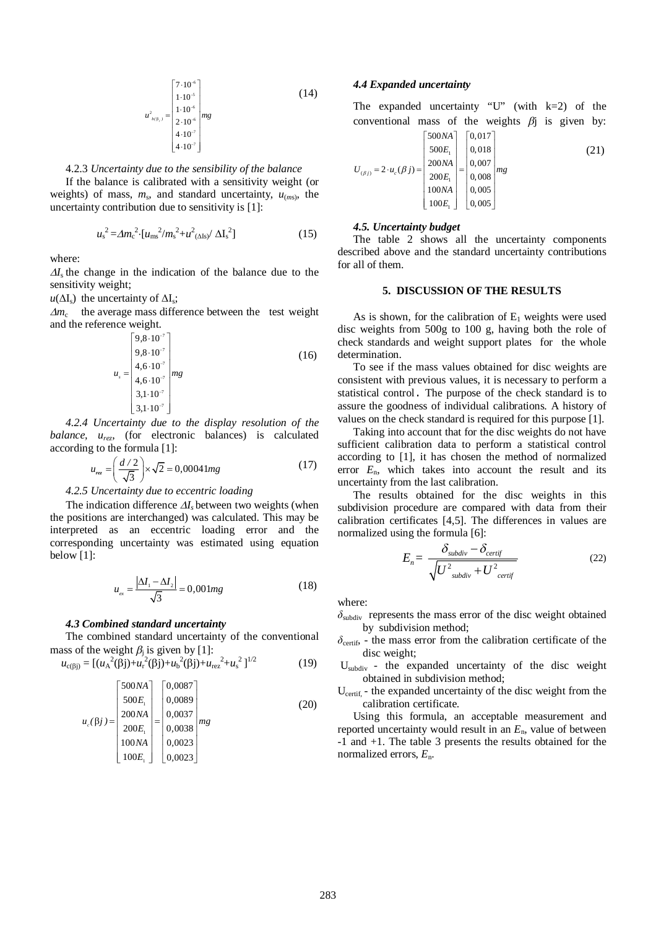$$
u_{\nu(\beta_j)}^2 = \begin{bmatrix} 7 \cdot 10^{-6} \\ 1 \cdot 10^{-5} \\ 1 \cdot 10^{-6} \\ 2 \cdot 10^{-6} \\ 2 \cdot 10^{-6} \\ 4 \cdot 10^{-7} \\ 4 \cdot 10^{-7} \end{bmatrix} mg
$$
 (14)

#### 4.2.3 *Uncertainty due to the sensibility of the balance*

If the balance is calibrated with a sensitivity weight (or weights) of mass,  $m_s$ , and standard uncertainty,  $u_{(m_s)}$ , the uncertainty contribution due to sensitivity is [1]:

$$
u_{\rm s}^2 = \Delta m_{\rm c}^2 \cdot [u_{\rm ms}^2/m_{\rm s}^2 + u_{\rm (AIs)}^2/\Delta I_{\rm s}^2] \tag{15}
$$

where:

 $\Delta I_s$  the change in the indication of the balance due to the sensitivity weight;

 $u(\Delta I_s)$  the uncertainty of  $\Delta I_s$ ;

 $\Delta m_c$  the average mass difference between the test weight and the reference weight.

$$
u_s = \begin{bmatrix} 9,8.10^{-7} \\ 9,8.10^{-7} \\ 4,6.10^{-7} \\ 4,6.10^{-7} \\ 3,1.10^{-7} \\ 3,1.10^{-7} \end{bmatrix} mg
$$
 (16)

*4.2.4 Uncertainty due to the display resolution of the balance, urez* , (for electronic balances) is calculated according to the formula [1]:

$$
u_{re} = \left(\frac{d/2}{\sqrt{3}}\right) \times \sqrt{2} = 0,00041mg
$$
 (17)

#### *4.2.5 Uncertainty due to eccentric loading*

The indication difference  $\Delta I_s$  between two weights (when the positions are interchanged) was calculated. This may be interpreted as an eccentric loading error and the corresponding uncertainty was estimated using equation below [1]:

$$
u_{ex} = \frac{|\Delta I_1 - \Delta I_2|}{\sqrt{3}} = 0,001mg
$$
 (18)

#### *4.3 Combined standard uncertainty*

The combined standard uncertainty of the conventional mass of the weight  $\beta_j$  is given by [1]:

$$
u_{c(\beta j)} = [(u_A^2(\beta j) + u_r^2(\beta j) + u_b^2(\beta j) + u_{rez}^2 + u_s^2]^{1/2}
$$
(19)

$$
u_c(\beta j) = \begin{bmatrix} 500NA \\ 500E_1 \\ 200NA \\ 200E_1 \\ 100NA \\ 100E_1 \end{bmatrix} = \begin{bmatrix} 0,0087 \\ 0,0089 \\ 0,0037 \\ 0,0038 \\ 0,0023 \\ 0,0023 \\ 0,0023 \end{bmatrix} mg
$$
(20)

#### *4.4 Expanded uncertainty*

The expanded uncertainty "U" (with  $k=2$ ) of the conventional mass of the weights  $\beta$  is given by:

$$
U_{(\beta j)} = 2 \cdot u_c(\beta j) = \begin{bmatrix} 500NA \\ 500E_1 \\ 200NA \\ 200E_1 \\ 100NA \\ 100E_1 \end{bmatrix} = \begin{bmatrix} 0.017 \\ 0.018 \\ 0.008 \\ 0.008 \\ 0.005 \\ 0.005 \end{bmatrix} mg
$$
(21)

## *4.5. Uncertainty budget*

The table 2 shows all the uncertainty components described above and the standard uncertainty contributions for all of them.

#### **5. DISCUSSION OF THE RESULTS**

As is shown, for the calibration of  $E_1$  weights were used disc weights from 500g to 100 g, having both the role of check standards and weight support plates for the whole determination.

To see if the mass values obtained for disc weights are consistent with previous values, it is necessary to perform a statistical control. The purpose of the check standard is to assure the goodness of individual calibrations. A history of values on the check standard is required for this purpose [1].

Taking into account that for the disc weights do not have sufficient calibration data to perform a statistical control according to [1], it has chosen the method of normalized error  $E_n$ , which takes into account the result and its uncertainty from the last calibration.

The results obtained for the disc weights in this subdivision procedure are compared with data from their calibration certificates [4,5]. The differences in values are normalized using the formula [6]:

$$
E_n = \frac{\delta_{\text{subdiv}} - \delta_{\text{certif}}}{\sqrt{U_{\text{subdiv}}^2 + U_{\text{certif}}^2}}
$$
(22)

where:

 $\delta_{\text{subdiv}}$  represents the mass error of the disc weight obtained by subdivision method;

- $\delta$ <sub>certif</sub>, the mass error from the calibration certificate of the disc weight;
- Usubdiv the expanded uncertainty of the disc weight obtained in subdivision method;
- U<sub>certif,</sub> the expanded uncertainty of the disc weight from the calibration certificate.

Using this formula, an acceptable measurement and reported uncertainty would result in an *E*n, value of between -1 and +1. The table 3 presents the results obtained for the normalized errors, *E*n.